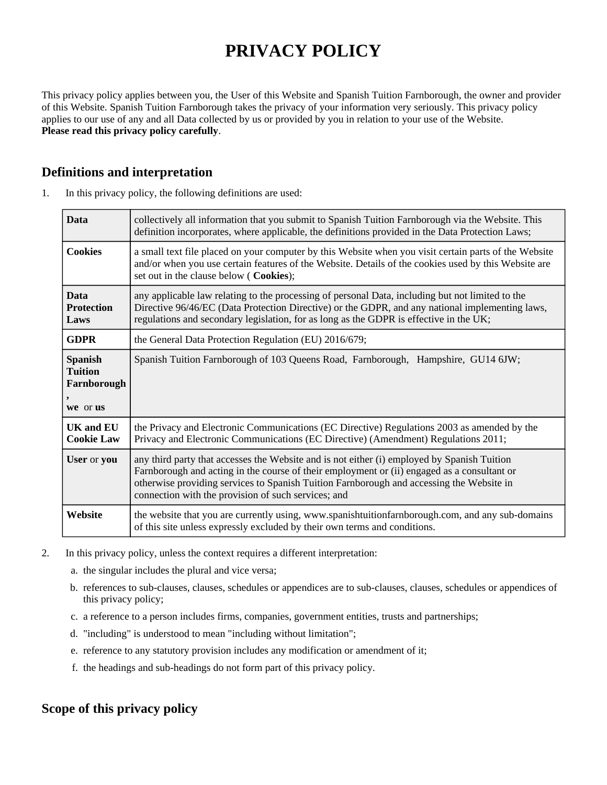# **PRIVACY POLICY**

This privacy policy applies between you, the User of this Website and Spanish Tuition Farnborough, the owner and provider of this Website. Spanish Tuition Farnborough takes the privacy of your information very seriously. This privacy policy applies to our use of any and all Data collected by us or provided by you in relation to your use of the Website. **Please read this privacy policy carefully**.

## **Definitions and interpretation**

| 1. | In this privacy policy, the following definitions are used: |  |  |  |  |
|----|-------------------------------------------------------------|--|--|--|--|
|----|-------------------------------------------------------------|--|--|--|--|

| <b>Data</b>                                                 | collectively all information that you submit to Spanish Tuition Farnborough via the Website. This<br>definition incorporates, where applicable, the definitions provided in the Data Protection Laws;                                                                                                                                         |  |
|-------------------------------------------------------------|-----------------------------------------------------------------------------------------------------------------------------------------------------------------------------------------------------------------------------------------------------------------------------------------------------------------------------------------------|--|
| <b>Cookies</b>                                              | a small text file placed on your computer by this Website when you visit certain parts of the Website<br>and/or when you use certain features of the Website. Details of the cookies used by this Website are<br>set out in the clause below (Cookies);                                                                                       |  |
| <b>Data</b><br><b>Protection</b><br>Laws                    | any applicable law relating to the processing of personal Data, including but not limited to the<br>Directive 96/46/EC (Data Protection Directive) or the GDPR, and any national implementing laws,<br>regulations and secondary legislation, for as long as the GDPR is effective in the UK;                                                 |  |
| <b>GDPR</b>                                                 | the General Data Protection Regulation (EU) 2016/679;                                                                                                                                                                                                                                                                                         |  |
| <b>Spanish</b><br><b>Tuition</b><br>Farnborough<br>we or us | Spanish Tuition Farnborough of 103 Queens Road, Farnborough, Hampshire, GU14 6JW;                                                                                                                                                                                                                                                             |  |
| <b>UK and EU</b><br><b>Cookie Law</b>                       | the Privacy and Electronic Communications (EC Directive) Regulations 2003 as amended by the<br>Privacy and Electronic Communications (EC Directive) (Amendment) Regulations 2011;                                                                                                                                                             |  |
| User or you                                                 | any third party that accesses the Website and is not either (i) employed by Spanish Tuition<br>Farnborough and acting in the course of their employment or (ii) engaged as a consultant or<br>otherwise providing services to Spanish Tuition Farnborough and accessing the Website in<br>connection with the provision of such services; and |  |
| Website                                                     | the website that you are currently using, www.spanishtuitionfarnborough.com, and any sub-domains<br>of this site unless expressly excluded by their own terms and conditions.                                                                                                                                                                 |  |

- 2. In this privacy policy, unless the context requires a different interpretation:
	- a. the singular includes the plural and vice versa;
	- b. references to sub-clauses, clauses, schedules or appendices are to sub-clauses, clauses, schedules or appendices of this privacy policy;
	- c. a reference to a person includes firms, companies, government entities, trusts and partnerships;
	- d. "including" is understood to mean "including without limitation";
	- e. reference to any statutory provision includes any modification or amendment of it;
	- f. the headings and sub-headings do not form part of this privacy policy.

## **Scope of this privacy policy**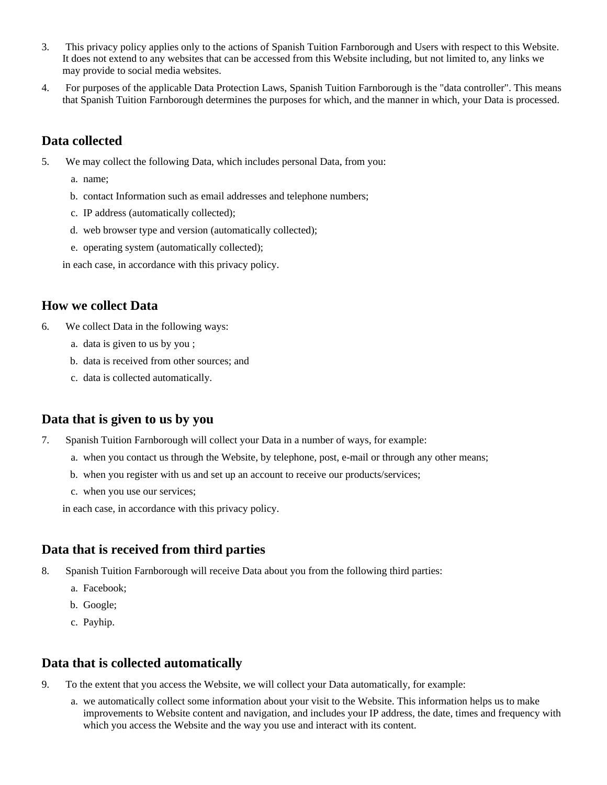- 3. This privacy policy applies only to the actions of Spanish Tuition Farnborough and Users with respect to this Website. It does not extend to any websites that can be accessed from this Website including, but not limited to, any links we may provide to social media websites.
- 4. For purposes of the applicable Data Protection Laws, Spanish Tuition Farnborough is the "data controller". This means that Spanish Tuition Farnborough determines the purposes for which, and the manner in which, your Data is processed.

## **Data collected**

- 5. We may collect the following Data, which includes personal Data, from you:
	- a. name;
	- b. contact Information such as email addresses and telephone numbers;
	- c. IP address (automatically collected);
	- d. web browser type and version (automatically collected);
	- e. operating system (automatically collected);

in each case, in accordance with this privacy policy.

### **How we collect Data**

- 6. We collect Data in the following ways:
	- a. data is given to us by you ;
	- b. data is received from other sources; and
	- c. data is collected automatically.

## **Data that is given to us by you**

- 7. Spanish Tuition Farnborough will collect your Data in a number of ways, for example:
	- a. when you contact us through the Website, by telephone, post, e-mail or through any other means;
	- b. when you register with us and set up an account to receive our products/services;
	- c. when you use our services;

in each case, in accordance with this privacy policy.

## **Data that is received from third parties**

- 8. Spanish Tuition Farnborough will receive Data about you from the following third parties:
	- a. Facebook;
	- b. Google;
	- c. Payhip.

## **Data that is collected automatically**

- 9. To the extent that you access the Website, we will collect your Data automatically, for example:
	- a. we automatically collect some information about your visit to the Website. This information helps us to make improvements to Website content and navigation, and includes your IP address, the date, times and frequency with which you access the Website and the way you use and interact with its content.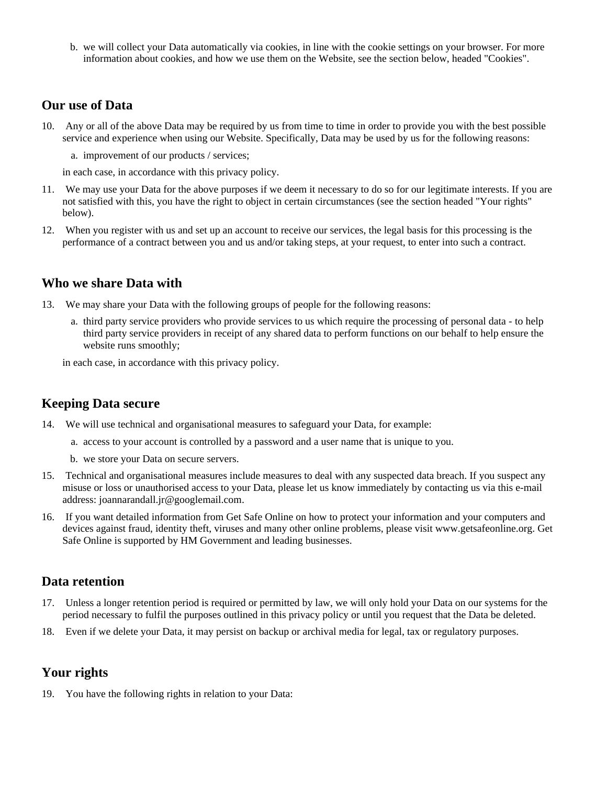b. we will collect your Data automatically via cookies, in line with the cookie settings on your browser. For more information about cookies, and how we use them on the Website, see the section below, headed "Cookies".

#### **Our use of Data**

- 10. Any or all of the above Data may be required by us from time to time in order to provide you with the best possible service and experience when using our Website. Specifically, Data may be used by us for the following reasons:
	- a. improvement of our products / services;

in each case, in accordance with this privacy policy.

- 11. We may use your Data for the above purposes if we deem it necessary to do so for our legitimate interests. If you are not satisfied with this, you have the right to object in certain circumstances (see the section headed "Your rights" below).
- 12. When you register with us and set up an account to receive our services, the legal basis for this processing is the performance of a contract between you and us and/or taking steps, at your request, to enter into such a contract.

#### **Who we share Data with**

- 13. We may share your Data with the following groups of people for the following reasons:
	- a. third party service providers who provide services to us which require the processing of personal data to help third party service providers in receipt of any shared data to perform functions on our behalf to help ensure the website runs smoothly;

in each case, in accordance with this privacy policy.

## **Keeping Data secure**

- 14. We will use technical and organisational measures to safeguard your Data, for example:
	- a. access to your account is controlled by a password and a user name that is unique to you.
	- b. we store your Data on secure servers.
- 15. Technical and organisational measures include measures to deal with any suspected data breach. If you suspect any misuse or loss or unauthorised access to your Data, please let us know immediately by contacting us via this e-mail address: joannarandall.jr@googlemail.com.
- 16. If you want detailed information from Get Safe Online on how to protect your information and your computers and devices against fraud, identity theft, viruses and many other online problems, please visit www.getsafeonline.org. Get Safe Online is supported by HM Government and leading businesses.

#### **Data retention**

- 17. Unless a longer retention period is required or permitted by law, we will only hold your Data on our systems for the period necessary to fulfil the purposes outlined in this privacy policy or until you request that the Data be deleted.
- 18. Even if we delete your Data, it may persist on backup or archival media for legal, tax or regulatory purposes.

#### **Your rights**

19. You have the following rights in relation to your Data: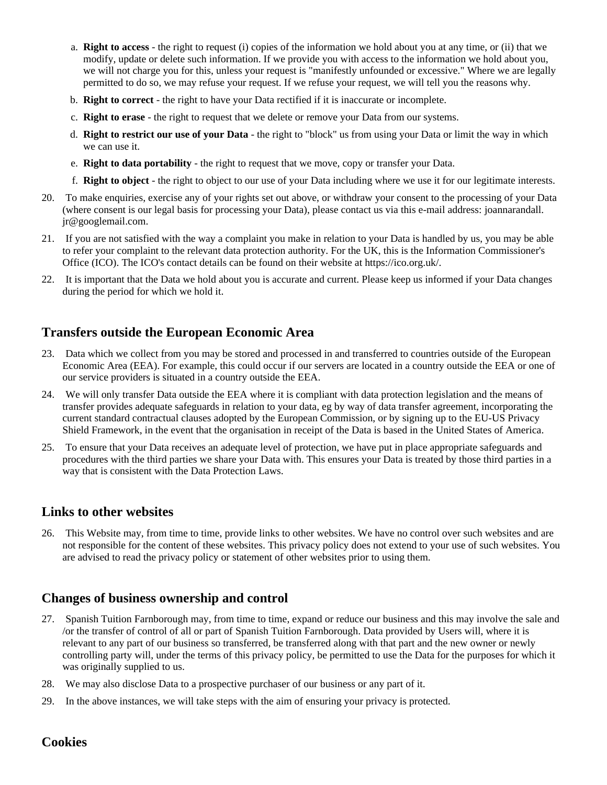- a. **Right to access** the right to request (i) copies of the information we hold about you at any time, or (ii) that we modify, update or delete such information. If we provide you with access to the information we hold about you, we will not charge you for this, unless your request is "manifestly unfounded or excessive." Where we are legally permitted to do so, we may refuse your request. If we refuse your request, we will tell you the reasons why.
- b. **Right to correct** the right to have your Data rectified if it is inaccurate or incomplete.
- c. **Right to erase** the right to request that we delete or remove your Data from our systems.
- d. **Right to restrict our use of your Data** the right to "block" us from using your Data or limit the way in which we can use it.
- e. **Right to data portability** the right to request that we move, copy or transfer your Data.
- f. **Right to object** the right to object to our use of your Data including where we use it for our legitimate interests.
- 20. To make enquiries, exercise any of your rights set out above, or withdraw your consent to the processing of your Data (where consent is our legal basis for processing your Data), please contact us via this e-mail address: joannarandall. jr@googlemail.com.
- 21. If you are not satisfied with the way a complaint you make in relation to your Data is handled by us, you may be able to refer your complaint to the relevant data protection authority. For the UK, this is the Information Commissioner's Office (ICO). The ICO's contact details can be found on their website at https://ico.org.uk/.
- 22. It is important that the Data we hold about you is accurate and current. Please keep us informed if your Data changes during the period for which we hold it.

### **Transfers outside the European Economic Area**

- 23. Data which we collect from you may be stored and processed in and transferred to countries outside of the European Economic Area (EEA). For example, this could occur if our servers are located in a country outside the EEA or one of our service providers is situated in a country outside the EEA.
- 24. We will only transfer Data outside the EEA where it is compliant with data protection legislation and the means of transfer provides adequate safeguards in relation to your data, eg by way of data transfer agreement, incorporating the current standard contractual clauses adopted by the European Commission, or by signing up to the EU-US Privacy Shield Framework, in the event that the organisation in receipt of the Data is based in the United States of America.
- 25. To ensure that your Data receives an adequate level of protection, we have put in place appropriate safeguards and procedures with the third parties we share your Data with. This ensures your Data is treated by those third parties in a way that is consistent with the Data Protection Laws.

#### **Links to other websites**

26. This Website may, from time to time, provide links to other websites. We have no control over such websites and are not responsible for the content of these websites. This privacy policy does not extend to your use of such websites. You are advised to read the privacy policy or statement of other websites prior to using them.

## **Changes of business ownership and control**

- 27. Spanish Tuition Farnborough may, from time to time, expand or reduce our business and this may involve the sale and /or the transfer of control of all or part of Spanish Tuition Farnborough. Data provided by Users will, where it is relevant to any part of our business so transferred, be transferred along with that part and the new owner or newly controlling party will, under the terms of this privacy policy, be permitted to use the Data for the purposes for which it was originally supplied to us.
- 28. We may also disclose Data to a prospective purchaser of our business or any part of it.
- 29. In the above instances, we will take steps with the aim of ensuring your privacy is protected.

## **Cookies**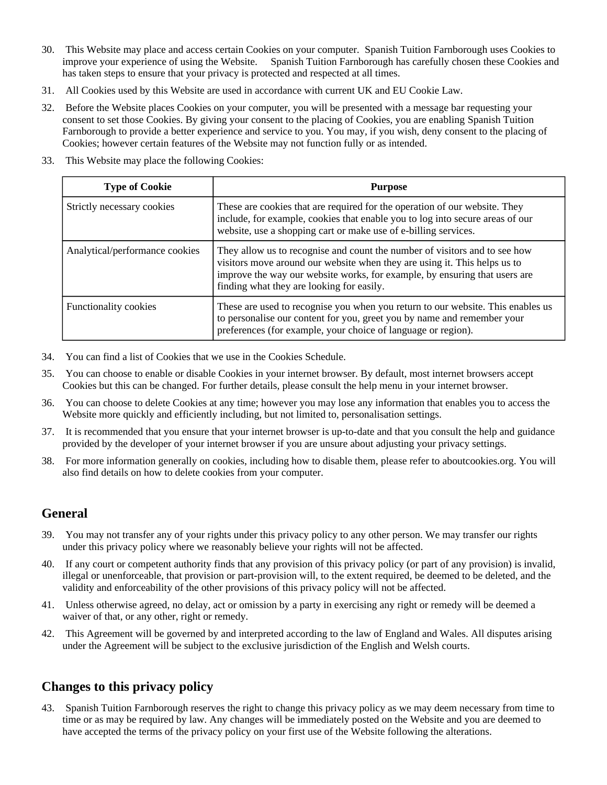- 30. This Website may place and access certain Cookies on your computer. Spanish Tuition Farnborough uses Cookies to improve your experience of using the Website. Spanish Tuition Farnborough has carefully chosen these Cookies and has taken steps to ensure that your privacy is protected and respected at all times.
- 31. All Cookies used by this Website are used in accordance with current UK and EU Cookie Law.
- 32. Before the Website places Cookies on your computer, you will be presented with a message bar requesting your consent to set those Cookies. By giving your consent to the placing of Cookies, you are enabling Spanish Tuition Farnborough to provide a better experience and service to you. You may, if you wish, deny consent to the placing of Cookies; however certain features of the Website may not function fully or as intended.
- 33. This Website may place the following Cookies:

| <b>Type of Cookie</b>          | <b>Purpose</b>                                                                                                                                                                                                                                                                     |
|--------------------------------|------------------------------------------------------------------------------------------------------------------------------------------------------------------------------------------------------------------------------------------------------------------------------------|
| Strictly necessary cookies     | These are cookies that are required for the operation of our website. They<br>include, for example, cookies that enable you to log into secure areas of our<br>website, use a shopping cart or make use of e-billing services.                                                     |
| Analytical/performance cookies | They allow us to recognise and count the number of visitors and to see how<br>visitors move around our website when they are using it. This helps us to<br>improve the way our website works, for example, by ensuring that users are<br>finding what they are looking for easily. |
| <b>Functionality cookies</b>   | These are used to recognise you when you return to our website. This enables us<br>to personalise our content for you, greet you by name and remember your<br>preferences (for example, your choice of language or region).                                                        |

- 34. You can find a list of Cookies that we use in the Cookies Schedule.
- 35. You can choose to enable or disable Cookies in your internet browser. By default, most internet browsers accept Cookies but this can be changed. For further details, please consult the help menu in your internet browser.
- 36. You can choose to delete Cookies at any time; however you may lose any information that enables you to access the Website more quickly and efficiently including, but not limited to, personalisation settings.
- 37. It is recommended that you ensure that your internet browser is up-to-date and that you consult the help and guidance provided by the developer of your internet browser if you are unsure about adjusting your privacy settings.
- 38. For more information generally on cookies, including how to disable them, please refer to aboutcookies.org. You will also find details on how to delete cookies from your computer.

## **General**

- 39. You may not transfer any of your rights under this privacy policy to any other person. We may transfer our rights under this privacy policy where we reasonably believe your rights will not be affected.
- 40. If any court or competent authority finds that any provision of this privacy policy (or part of any provision) is invalid, illegal or unenforceable, that provision or part-provision will, to the extent required, be deemed to be deleted, and the validity and enforceability of the other provisions of this privacy policy will not be affected.
- 41. Unless otherwise agreed, no delay, act or omission by a party in exercising any right or remedy will be deemed a waiver of that, or any other, right or remedy.
- 42. This Agreement will be governed by and interpreted according to the law of England and Wales. All disputes arising under the Agreement will be subject to the exclusive jurisdiction of the English and Welsh courts.

## **Changes to this privacy policy**

43. Spanish Tuition Farnborough reserves the right to change this privacy policy as we may deem necessary from time to time or as may be required by law. Any changes will be immediately posted on the Website and you are deemed to have accepted the terms of the privacy policy on your first use of the Website following the alterations.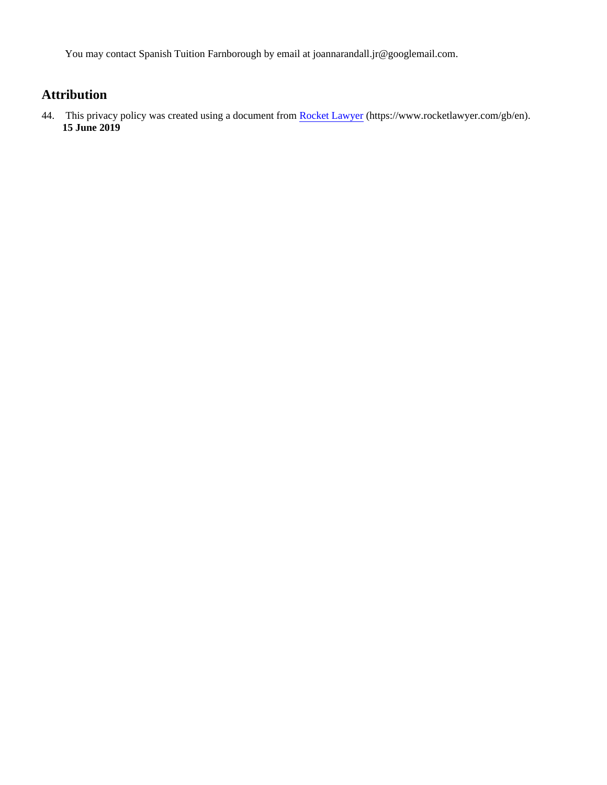You may contact Spanish Tuition Farnborough by email at joannarandall.jr@googlemail.com.

## **Attribution**

44. This privacy policy was created using a document from [Rocket Lawyer](https://www.rocketlawyer.com/gb/en/) (https://www.rocketlawyer.com/gb/en). **15 June 2019**